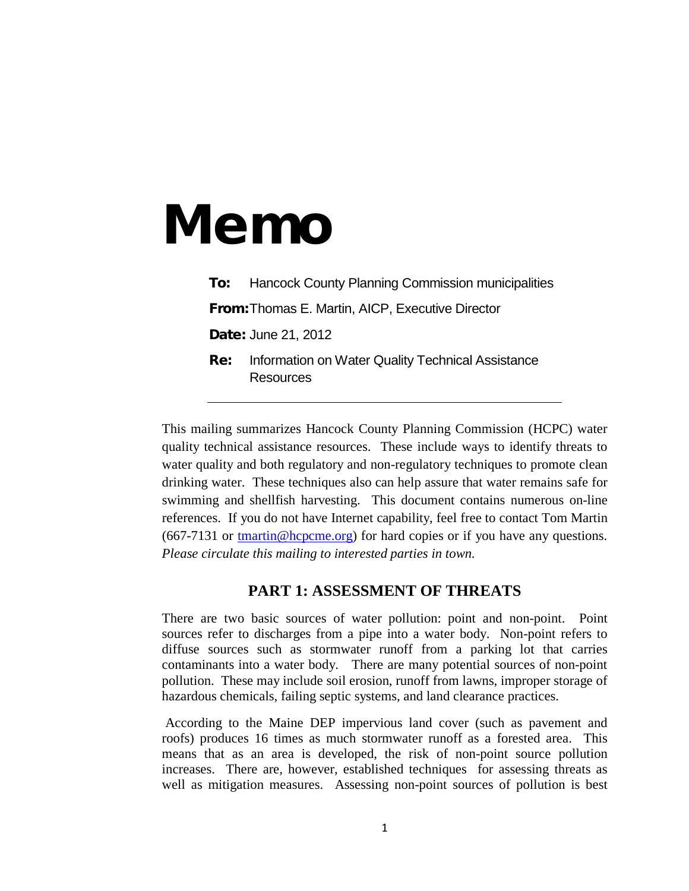# Memo

**To:** Hancock County Planning Commission municipalities From:Thomas E. Martin, AICP, Executive Director Date: June 21, 2012 **Re:** Information on Water Quality Technical Assistance

**Resources** 

This mailing summarizes Hancock County Planning Commission (HCPC) water quality technical assistance resources. These include ways to identify threats to water quality and both regulatory and non-regulatory techniques to promote clean drinking water. These techniques also can help assure that water remains safe for swimming and shellfish harvesting. This document contains numerous on-line references. If you do not have Internet capability, feel free to contact Tom Martin (667-7131 or [tmartin@hcpcme.org\)](mailto:tmartin@hcpcme.org) for hard copies or if you have any questions. *Please circulate this mailing to interested parties in town.*

#### **PART 1: ASSESSMENT OF THREATS**

There are two basic sources of water pollution: point and non-point. Point sources refer to discharges from a pipe into a water body. Non-point refers to diffuse sources such as stormwater runoff from a parking lot that carries contaminants into a water body. There are many potential sources of non-point pollution. These may include soil erosion, runoff from lawns, improper storage of hazardous chemicals, failing septic systems, and land clearance practices.

According to the Maine DEP impervious land cover (such as pavement and roofs) produces 16 times as much stormwater runoff as a forested area. This means that as an area is developed, the risk of non-point source pollution increases. There are, however, established techniques for assessing threats as well as mitigation measures. Assessing non-point sources of pollution is best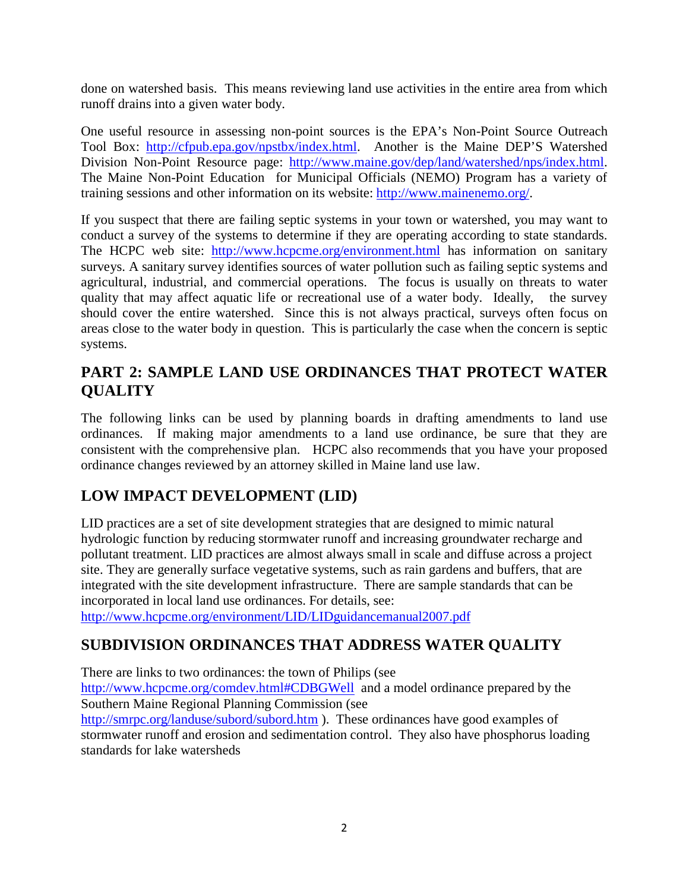done on watershed basis. This means reviewing land use activities in the entire area from which runoff drains into a given water body.

One useful resource in assessing non-point sources is the EPA's Non-Point Source Outreach Tool Box: [http://cfpub.epa.gov/npstbx/index.html.](http://cfpub.epa.gov/npstbx/index.html) Another is the Maine DEP'S Watershed Division Non-Point Resource page: [http://www.maine.gov/dep/land/watershed/nps/index.html.](http://www.maine.gov/dep/land/watershed/nps/index.html) The Maine Non-Point Education for Municipal Officials (NEMO) Program has a variety of training sessions and other information on its website: [http://www.mainenemo.org/.](http://www.mainenemo.org/)

If you suspect that there are failing septic systems in your town or watershed, you may want to conduct a survey of the systems to determine if they are operating according to state standards. The HCPC web site: <http://www.hcpcme.org/environment.html> has information on sanitary surveys. A sanitary survey identifies sources of water pollution such as failing septic systems and agricultural, industrial, and commercial operations. The focus is usually on threats to water quality that may affect aquatic life or recreational use of a water body. Ideally, the survey should cover the entire watershed. Since this is not always practical, surveys often focus on areas close to the water body in question. This is particularly the case when the concern is septic systems.

#### **PART 2: SAMPLE LAND USE ORDINANCES THAT PROTECT WATER QUALITY**

The following links can be used by planning boards in drafting amendments to land use ordinances. If making major amendments to a land use ordinance, be sure that they are consistent with the comprehensive plan. HCPC also recommends that you have your proposed ordinance changes reviewed by an attorney skilled in Maine land use law.

#### **LOW IMPACT DEVELOPMENT (LID)**

LID practices are a set of site development strategies that are designed to mimic natural hydrologic function by reducing stormwater runoff and increasing groundwater recharge and pollutant treatment. LID practices are almost always small in scale and diffuse across a project site. They are generally surface vegetative systems, such as rain gardens and buffers, that are integrated with the site development infrastructure. There are sample standards that can be incorporated in local land use ordinances. For details, see:

<http://www.hcpcme.org/environment/LID/LIDguidancemanual2007.pdf>

#### **SUBDIVISION ORDINANCES THAT ADDRESS WATER QUALITY**

There are links to two ordinances: the town of Philips (see

<http://www.hcpcme.org/comdev.html#CDBGWell> and a model ordinance prepared by the Southern Maine Regional Planning Commission (see

<http://smrpc.org/landuse/subord/subord.htm> ). These ordinances have good examples of stormwater runoff and erosion and sedimentation control. They also have phosphorus loading standards for lake watersheds